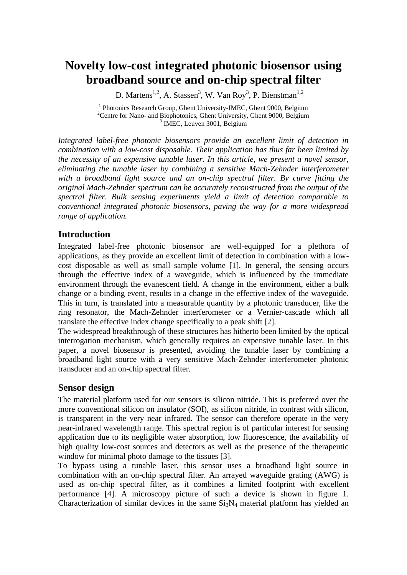# **Novelty low-cost integrated photonic biosensor using broadband source and on-chip spectral filter**

D. Martens<sup>1,2</sup>, A. Stassen<sup>3</sup>, W. Van Roy<sup>3</sup>, P. Bienstman<sup>1,2</sup>

<sup>1</sup> Photonics Research Group, Ghent University-IMEC, Ghent 9000, Belgium <sup>2</sup>Centre for Nano- and Biophotonics, Ghent University, Ghent 9000, Belgium <sup>3</sup> IMEC, Leuven 3001, Belgium

*Integrated label-free photonic biosensors provide an excellent limit of detection in combination with a low-cost disposable. Their application has thus far been limited by the necessity of an expensive tunable laser. In this article, we present a novel sensor, eliminating the tunable laser by combining a sensitive Mach-Zehnder interferometer*  with a broadband light source and an on-chip spectral filter. By curve fitting the *original Mach-Zehnder spectrum can be accurately reconstructed from the output of the spectral filter. Bulk sensing experiments yield a limit of detection comparable to conventional integrated photonic biosensors, paving the way for a more widespread range of application.*

# **Introduction**

Integrated label-free photonic biosensor are well-equipped for a plethora of applications, as they provide an excellent limit of detection in combination with a lowcost disposable as well as small sample volume [1]. In general, the sensing occurs through the effective index of a waveguide, which is influenced by the immediate environment through the evanescent field. A change in the environment, either a bulk change or a binding event, results in a change in the effective index of the waveguide. This in turn, is translated into a measurable quantity by a photonic transducer, like the ring resonator, the Mach-Zehnder interferometer or a Vernier-cascade which all translate the effective index change specifically to a peak shift [2].

The widespread breakthrough of these structures has hitherto been limited by the optical interrogation mechanism, which generally requires an expensive tunable laser. In this paper, a novel biosensor is presented, avoiding the tunable laser by combining a broadband light source with a very sensitive Mach-Zehnder interferometer photonic transducer and an on-chip spectral filter.

# **Sensor design**

The material platform used for our sensors is silicon nitride. This is preferred over the more conventional silicon on insulator (SOI), as silicon nitride, in contrast with silicon, is transparent in the very near infrared. The sensor can therefore operate in the very near-infrared wavelength range. This spectral region is of particular interest for sensing application due to its negligible water absorption, low fluorescence, the availability of high quality low-cost sources and detectors as well as the presence of the therapeutic window for minimal photo damage to the tissues [3].

To bypass using a tunable laser, this sensor uses a broadband light source in combination with an on-chip spectral filter. An arrayed waveguide grating (AWG) is used as on-chip spectral filter, as it combines a limited footprint with excellent performance [4]. A microscopy picture of such a device is shown in figure 1. Characterization of similar devices in the same  $Si<sub>3</sub>N<sub>4</sub>$  material platform has yielded an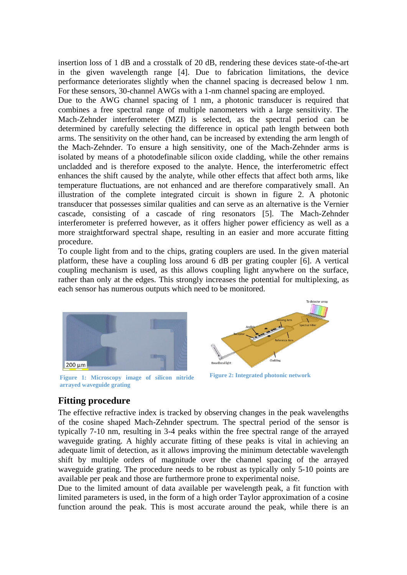insertion loss of 1 dB and a crosstalk of 20 dB, rendering these devices state-of-the-art in the given wavelength range [4]. Due to fabrication limitations, the device performance deteriorates slightly when the channel spacing is decreased below 1 nm. For these sensors, 30-channel AWGs with a 1-nm channel spacing are employed.

Due to the AWG channel spacing of 1 nm, a photonic transducer is required that combines a free spectral range of multiple nanometers with a large sensitivity. The Mach-Zehnder interferometer (MZI) is selected, as the spectral period can be determined by carefully selecting the difference in optical path length between both arms. The sensitivity on the other hand, can be increased by extending the arm length of the Mach-Zehnder. To ensure a high sensitivity, one of the Mach-Zehnder arms is isolated by means of a photodefinable silicon oxide cladding, while the other remains uncladded and is therefore exposed to the analyte. Hence, the interferometric effect enhances the shift caused by the analyte, while other effects that affect both arms, like temperature fluctuations, are not enhanced and are therefore comparatively small. An illustration of the complete integrated circuit is shown in figure 2. A photonic transducer that possesses similar qualities and can serve as an alternative is the Vernier cascade, consisting of a cascade of ring resonators [5]. The Mach-Zehnder interferometer is preferred however, as it offers higher power efficiency as well as a more straightforward spectral shape, resulting in an easier and more accurate fitting procedure.

To couple light from and to the chips, grating couplers are used. In the given material platform, these have a coupling loss around 6 dB per grating coupler [6]. A vertical coupling mechanism is used, as this allows coupling light anywhere on the surface, rather than only at the edges. This strongly increases the potential for multiplexing, as each sensor has numerous outputs which need to be monitored.



**Figure 2: Integrated photonic network Figure 1: Microscopy image of silicon nitride arrayed waveguide grating**



# **Fitting procedure**

The effective refractive index is tracked by observing changes in the peak wavelengths of the cosine shaped Mach-Zehnder spectrum. The spectral period of the sensor is typically 7-10 nm, resulting in 3-4 peaks within the free spectral range of the arrayed waveguide grating. A highly accurate fitting of these peaks is vital in achieving an adequate limit of detection, as it allows improving the minimum detectable wavelength shift by multiple orders of magnitude over the channel spacing of the arrayed waveguide grating. The procedure needs to be robust as typically only 5-10 points are available per peak and those are furthermore prone to experimental noise.

Due to the limited amount of data available per wavelength peak, a fit function with limited parameters is used, in the form of a high order Taylor approximation of a cosine function around the peak. This is most accurate around the peak, while there is an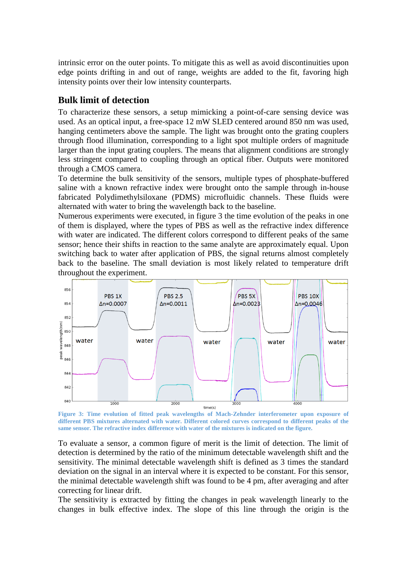intrinsic error on the outer points. To mitigate this as well as avoid discontinuities upon edge points drifting in and out of range, weights are added to the fit, favoring high intensity points over their low intensity counterparts.

# **Bulk limit of detection**

To characterize these sensors, a setup mimicking a point-of-care sensing device was used. As an optical input, a free-space 12 mW SLED centered around 850 nm was used, hanging centimeters above the sample. The light was brought onto the grating couplers through flood illumination, corresponding to a light spot multiple orders of magnitude larger than the input grating couplers. The means that alignment conditions are strongly less stringent compared to coupling through an optical fiber. Outputs were monitored through a CMOS camera.

To determine the bulk sensitivity of the sensors, multiple types of phosphate-buffered saline with a known refractive index were brought onto the sample through in-house fabricated Polydimethylsiloxane (PDMS) microfluidic channels. These fluids were alternated with water to bring the wavelength back to the baseline.

Numerous experiments were executed, in figure 3 the time evolution of the peaks in one of them is displayed, where the types of PBS as well as the refractive index difference with water are indicated. The different colors correspond to different peaks of the same sensor; hence their shifts in reaction to the same analyte are approximately equal. Upon switching back to water after application of PBS, the signal returns almost completely back to the baseline. The small deviation is most likely related to temperature drift throughout the experiment.



**Figure 3: Time evolution of fitted peak wavelengths of Mach-Zehnder interferometer upon exposure of different PBS mixtures alternated with water. Different colored curves correspond to different peaks of the same sensor. The refractive index difference with water of the mixtures is indicated on the figure.** 

To evaluate a sensor, a common figure of merit is the limit of detection. The limit of detection is determined by the ratio of the minimum detectable wavelength shift and the sensitivity. The minimal detectable wavelength shift is defined as 3 times the standard deviation on the signal in an interval where it is expected to be constant. For this sensor, the minimal detectable wavelength shift was found to be 4 pm, after averaging and after correcting for linear drift.

The sensitivity is extracted by fitting the changes in peak wavelength linearly to the changes in bulk effective index. The slope of this line through the origin is the